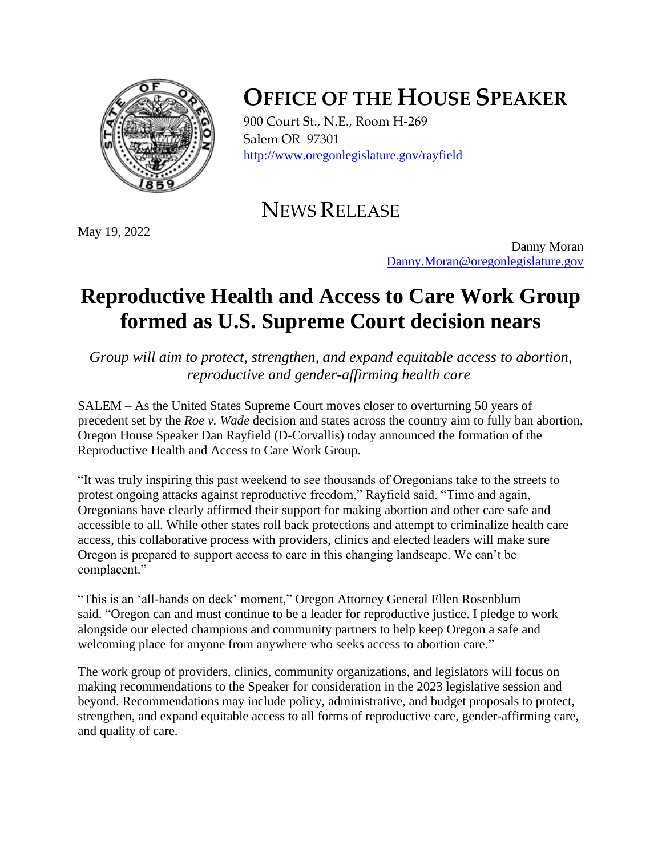

## **OFFICE OF THE HOUSE SPEAKER**

900 Court St., N.E., Room H-269 Salem OR 97301 <http://www.oregonlegislature.gov/rayfield>

NEWS RELEASE

May 19, 2022

Danny Moran [Danny.Moran@oregonlegislature.gov](mailto:Danny.Moran@oregonlegislature.gov)

## **Reproductive Health and Access to Care Work Group formed as U.S. Supreme Court decision nears**

*Group will aim to protect, strengthen, and expand equitable access to abortion, reproductive and gender-affirming health care*

SALEM – As the United States Supreme Court moves closer to overturning 50 years of precedent set by the *Roe v. Wade* decision and states across the country aim to fully ban abortion, Oregon House Speaker Dan Rayfield (D-Corvallis) today announced the formation of the Reproductive Health and Access to Care Work Group.

"It was truly inspiring this past weekend to see thousands of Oregonians take to the streets to protest ongoing attacks against reproductive freedom," Rayfield said. "Time and again, Oregonians have clearly affirmed their support for making abortion and other care safe and accessible to all. While other states roll back protections and attempt to criminalize health care access, this collaborative process with providers, clinics and elected leaders will make sure Oregon is prepared to support access to care in this changing landscape. We can't be complacent."

"This is an 'all-hands on deck' moment," Oregon Attorney General Ellen Rosenblum said. "Oregon can and must continue to be a leader for reproductive justice. I pledge to work alongside our elected champions and community partners to help keep Oregon a safe and welcoming place for anyone from anywhere who seeks access to abortion care."

The work group of providers, clinics, community organizations, and legislators will focus on making recommendations to the Speaker for consideration in the 2023 legislative session and beyond. Recommendations may include policy, administrative, and budget proposals to protect, strengthen, and expand equitable access to all forms of reproductive care, gender-affirming care, and quality of care.